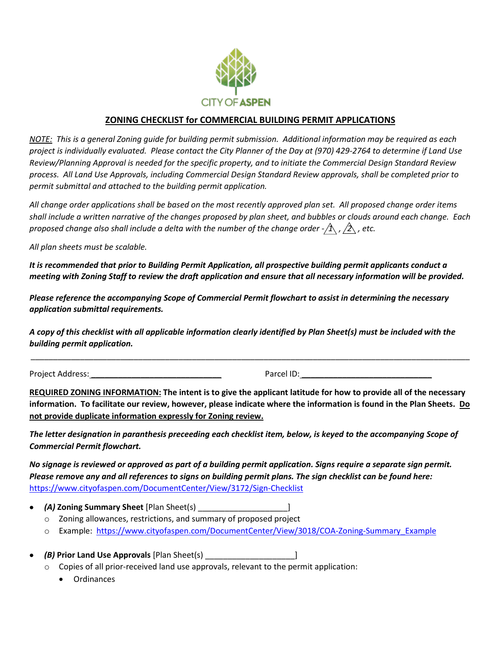

## **ZONING CHECKLIST for COMMERCIAL BUILDING PERMIT APPLICATIONS**

*NOTE: This is a general Zoning guide for building permit submission. Additional information may be required as each project is individually evaluated. Please contact the City Planner of the Day at (970) 429-2764 to determine if Land Use Review/Planning Approval is needed for the specific property, and to initiate the Commercial Design Standard Review process. All Land Use Approvals, including Commercial Design Standard Review approvals, shall be completed prior to permit submittal and attached to the building permit application.* 

*All change order applications shall be based on the most recently approved plan set. All proposed change order items shall include a written narrative of the changes proposed by plan sheet, and bubbles or clouds around each change. Each proposed change also shall include a delta with the number of the change order -* $/\hat{1}$  *,*  $/\hat{2}$  *, etc.* 

*All plan sheets must be scalable.*

*It is recommended that prior to Building Permit Application, all prospective building permit applicants conduct a meeting with Zoning Staff to review the draft application and ensure that all necessary information will be provided.*

*Please reference the accompanying Scope of Commercial Permit flowchart to assist in determining the necessary application submittal requirements.*

*A copy of this checklist with all applicable information clearly identified by Plan Sheet(s) must be included with the building permit application.* 

Project Address: **\_\_\_\_\_\_\_\_\_\_\_\_\_\_\_\_\_\_\_\_\_\_\_\_\_\_\_\_\_** Parcel ID: **\_\_\_\_\_\_\_\_\_\_\_\_\_\_\_\_\_\_\_\_\_\_\_\_\_\_\_\_\_**

**REQUIRED ZONING INFORMATION: The intent is to give the applicant latitude for how to provide all of the necessary information. To facilitate our review, however, please indicate where the information is found in the Plan Sheets. Do not provide duplicate information expressly for Zoning review.**

\_\_\_\_\_\_\_\_\_\_\_\_\_\_\_\_\_\_\_\_\_\_\_\_\_\_\_\_\_\_\_\_\_\_\_\_\_\_\_\_\_\_\_\_\_\_\_\_\_\_\_\_\_\_\_\_\_\_\_\_\_\_\_\_\_\_\_\_\_\_\_\_\_\_\_\_\_\_\_\_\_\_\_\_\_\_\_\_\_\_\_\_\_\_\_\_\_\_

*The letter designation in paranthesis preceeding each checklist item, below, is keyed to the accompanying Scope of Commercial Permit flowchart.* 

*No signage is reviewed or approved as part of a building permit application. Signs require a separate sign permit. Please remove any and all references to signs on building permit plans. The sign checklist can be found here:*  <https://www.cityofaspen.com/DocumentCenter/View/3172/Sign-Checklist>

- *(A)* **Zoning Summary Sheet** [Plan Sheet(s) \_\_\_\_\_\_\_\_\_\_\_\_\_\_\_\_\_\_\_\_]
	- o Zoning allowances, restrictions, and summary of proposed project
	- o Example: [https://www.cityofaspen.com/DocumentCenter/View/3018/COA-Zoning-Summary\\_Example](https://www.cityofaspen.com/DocumentCenter/View/3018/COA-Zoning-Summary_Example)
- *(B)* **Prior Land Use Approvals** [Plan Sheet(s) \_\_\_\_\_\_\_\_\_\_\_\_\_\_\_\_\_\_\_\_]
	- $\circ$  Copies of all prior-received land use approvals, relevant to the permit application:
		- Ordinances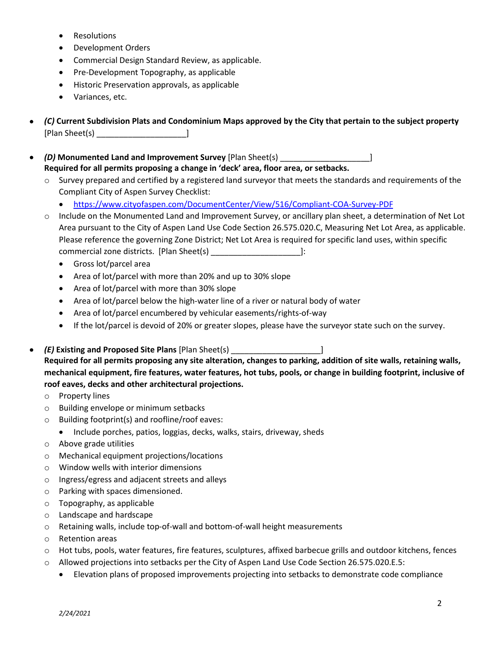- Resolutions
- Development Orders
- Commercial Design Standard Review, as applicable.
- Pre-Development Topography, as applicable
- Historic Preservation approvals, as applicable
- Variances, etc.
- *(C)* **Current Subdivision Plats and Condominium Maps approved by the City that pertain to the subject property**  [Plan Sheet(s) \_\_\_\_\_\_\_\_\_\_\_\_\_\_\_\_\_\_\_\_]
- *(D)* **Monumented Land and Improvement Survey** [Plan Sheet(s) \_\_\_\_\_\_\_\_\_\_\_\_\_\_\_\_\_\_\_\_] **Required for all permits proposing a change in 'deck' area, floor area, or setbacks.**
	- $\circ$  Survey prepared and certified by a registered land surveyor that meets the standards and requirements of the Compliant City of Aspen Survey Checklist:
		- <https://www.cityofaspen.com/DocumentCenter/View/516/Compliant-COA-Survey-PDF>
	- o Include on the Monumented Land and Improvement Survey, or ancillary plan sheet, a determination of Net Lot Area pursuant to the City of Aspen Land Use Code Section 26.575.020.C, Measuring Net Lot Area, as applicable. Please reference the governing Zone District; Net Lot Area is required for specific land uses, within specific commercial zone districts. [Plan Sheet(s) \_\_\_\_\_\_\_\_\_\_\_\_\_\_\_\_\_\_\_\_]:
		- Gross lot/parcel area
		- Area of lot/parcel with more than 20% and up to 30% slope
		- Area of lot/parcel with more than 30% slope
		- Area of lot/parcel below the high-water line of a river or natural body of water
		- Area of lot/parcel encumbered by vehicular easements/rights-of-way
		- If the lot/parcel is devoid of 20% or greater slopes, please have the surveyor state such on the survey.
- *(E)* **Existing and Proposed Site Plans** [Plan Sheet(s) \_\_\_\_\_\_\_\_\_\_\_\_\_\_\_\_\_\_\_\_] **Required for all permits proposing any site alteration, changes to parking, addition of site walls, retaining walls, mechanical equipment, fire features, water features, hot tubs, pools, or change in building footprint, inclusive of roof eaves, decks and other architectural projections.**
	- o Property lines
	- o Building envelope or minimum setbacks
	- o Building footprint(s) and roofline/roof eaves:
		- Include porches, patios, loggias, decks, walks, stairs, driveway, sheds
	- o Above grade utilities
	- o Mechanical equipment projections/locations
	- o Window wells with interior dimensions
	- o Ingress/egress and adjacent streets and alleys
	- o Parking with spaces dimensioned.
	- o Topography, as applicable
	- o Landscape and hardscape
	- $\circ$  Retaining walls, include top-of-wall and bottom-of-wall height measurements
	- o Retention areas
	- o Hot tubs, pools, water features, fire features, sculptures, affixed barbecue grills and outdoor kitchens, fences
	- o Allowed projections into setbacks per the City of Aspen Land Use Code Section 26.575.020.E.5:
		- Elevation plans of proposed improvements projecting into setbacks to demonstrate code compliance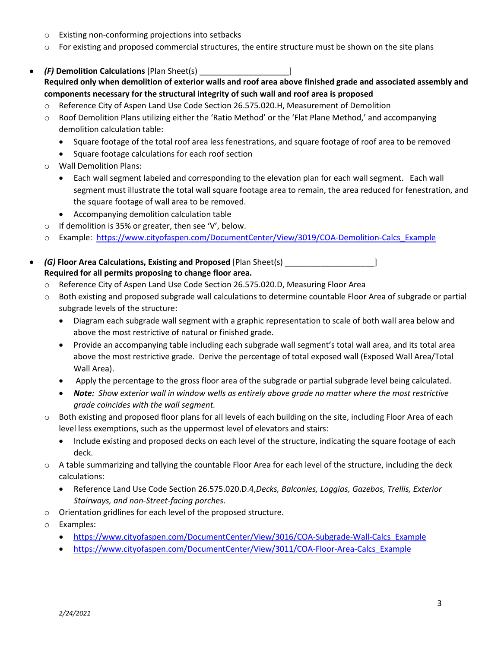- o Existing non-conforming projections into setbacks
- $\circ$  For existing and proposed commercial structures, the entire structure must be shown on the site plans
- *(F)* **Demolition Calculations** [Plan Sheet(s) \_\_\_\_\_\_\_\_\_\_\_\_\_\_\_\_\_\_\_\_] **Required only when demolition of exterior walls and roof area above finished grade and associated assembly and components necessary for the structural integrity of such wall and roof area is proposed**
	- o Reference City of Aspen Land Use Code Section 26.575.020.H, Measurement of Demolition
	- o Roof Demolition Plans utilizing either the 'Ratio Method' or the 'Flat Plane Method,' and accompanying demolition calculation table:
		- Square footage of the total roof area less fenestrations, and square footage of roof area to be removed
		- Square footage calculations for each roof section
	- o Wall Demolition Plans:
		- Each wall segment labeled and corresponding to the elevation plan for each wall segment. Each wall segment must illustrate the total wall square footage area to remain, the area reduced for fenestration, and the square footage of wall area to be removed.
		- Accompanying demolition calculation table
	- o If demolition is 35% or greater, then see 'V', below.
	- o Example: https://www.cityofaspen.com/DocumentCenter/View/3019/COA-Demolition-Calcs Example
- *(G)* **Floor Area Calculations, Existing and Proposed** [Plan Sheet(s) \_\_\_\_\_\_\_\_\_\_\_\_\_\_\_\_\_\_\_\_] **Required for all permits proposing to change floor area.**
	- o Reference City of Aspen Land Use Code Section 26.575.020.D, Measuring Floor Area
	- o Both existing and proposed subgrade wall calculations to determine countable Floor Area of subgrade or partial subgrade levels of the structure:
		- Diagram each subgrade wall segment with a graphic representation to scale of both wall area below and above the most restrictive of natural or finished grade.
		- Provide an accompanying table including each subgrade wall segment's total wall area, and its total area above the most restrictive grade. Derive the percentage of total exposed wall (Exposed Wall Area/Total Wall Area).
		- Apply the percentage to the gross floor area of the subgrade or partial subgrade level being calculated.
		- *Note: Show exterior wall in window wells as entirely above grade no matter where the most restrictive grade coincides with the wall segment.*
	- o Both existing and proposed floor plans for all levels of each building on the site, including Floor Area of each level less exemptions, such as the uppermost level of elevators and stairs:
		- Include existing and proposed decks on each level of the structure, indicating the square footage of each deck.
	- o A table summarizing and tallying the countable Floor Area for each level of the structure, including the deck calculations:
		- Reference Land Use Code Section 26.575.020.D.4,*Decks, Balconies, Loggias, Gazebos, Trellis, Exterior Stairways, and non-Street-facing porches*.
	- o Orientation gridlines for each level of the proposed structure.
	- o Examples:
		- https://www.cityofaspen.com/DocumentCenter/View/3016/COA-Subgrade-Wall-Calcs Example
		- [https://www.cityofaspen.com/DocumentCenter/View/3011/COA-Floor-Area-Calcs\\_Example](https://www.cityofaspen.com/DocumentCenter/View/3011/COA-Floor-Area-Calcs_Example)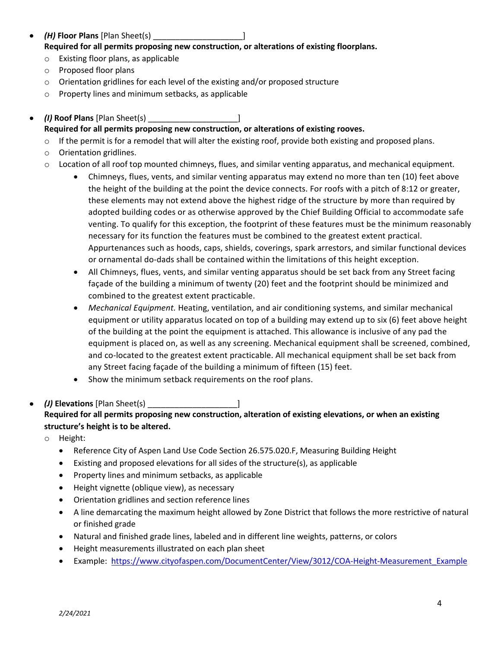- *(H)* **Floor Plans** [Plan Sheet(s) \_\_\_\_\_\_\_\_\_\_\_\_\_\_\_\_\_\_\_\_] **Required for all permits proposing new construction, or alterations of existing floorplans.** 
	- o Existing floor plans, as applicable
	- o Proposed floor plans
	- o Orientation gridlines for each level of the existing and/or proposed structure
	- o Property lines and minimum setbacks, as applicable
- *(I)* **Roof Plans** [Plan Sheet(s) \_\_\_\_\_\_\_\_\_\_\_\_\_\_\_\_\_\_\_\_] **Required for all permits proposing new construction, or alterations of existing rooves.**
	- $\circ$  If the permit is for a remodel that will alter the existing roof, provide both existing and proposed plans.
	- o Orientation gridlines.
	- o Location of all roof top mounted chimneys, flues, and similar venting apparatus, and mechanical equipment.
		- Chimneys, flues, vents, and similar venting apparatus may extend no more than ten (10) feet above the height of the building at the point the device connects. For roofs with a pitch of 8:12 or greater, these elements may not extend above the highest ridge of the structure by more than required by adopted building codes or as otherwise approved by the Chief Building Official to accommodate safe venting. To qualify for this exception, the footprint of these features must be the minimum reasonably necessary for its function the features must be combined to the greatest extent practical. Appurtenances such as hoods, caps, shields, coverings, spark arrestors, and similar functional devices or ornamental do-dads shall be contained within the limitations of this height exception.
		- All Chimneys, flues, vents, and similar venting apparatus should be set back from any Street facing façade of the building a minimum of twenty (20) feet and the footprint should be minimized and combined to the greatest extent practicable.
		- *Mechanical Equipment.* Heating, ventilation, and air conditioning systems, and similar mechanical equipment or utility apparatus located on top of a building may extend up to six (6) feet above height of the building at the point the equipment is attached. This allowance is inclusive of any pad the equipment is placed on, as well as any screening. Mechanical equipment shall be screened, combined, and co-located to the greatest extent practicable. All mechanical equipment shall be set back from any Street facing façade of the building a minimum of fifteen (15) feet.
		- Show the minimum setback requirements on the roof plans.
- *(J)* **Elevations** [Plan Sheet(s) \_\_\_\_\_\_\_\_\_\_\_\_\_\_\_\_\_\_\_\_] **Required for all permits proposing new construction, alteration of existing elevations, or when an existing structure's height is to be altered.**
	- o Height:
		- Reference City of Aspen Land Use Code Section 26.575.020.F, Measuring Building Height
		- Existing and proposed elevations for all sides of the structure(s), as applicable
		- Property lines and minimum setbacks, as applicable
		- Height vignette (oblique view), as necessary
		- Orientation gridlines and section reference lines
		- A line demarcating the maximum height allowed by Zone District that follows the more restrictive of natural or finished grade
		- Natural and finished grade lines, labeled and in different line weights, patterns, or colors
		- Height measurements illustrated on each plan sheet
		- Example: https://www.cityofaspen.com/DocumentCenter/View/3012/COA-Height-Measurement Example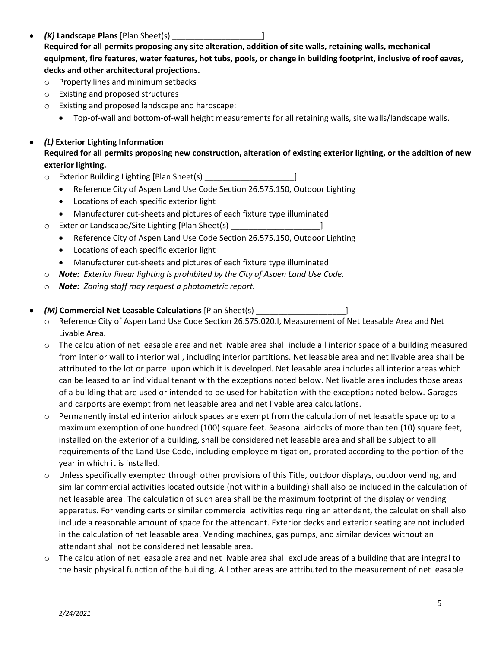- *(K)* **Landscape Plans** [Plan Sheet(s) \_\_\_\_\_\_\_\_\_\_\_\_\_\_\_\_\_\_\_\_] **Required for all permits proposing any site alteration, addition of site walls, retaining walls, mechanical equipment, fire features, water features, hot tubs, pools, or change in building footprint, inclusive of roof eaves, decks and other architectural projections.**
	- o Property lines and minimum setbacks
	- o Existing and proposed structures
	- o Existing and proposed landscape and hardscape:
		- Top-of-wall and bottom-of-wall height measurements for all retaining walls, site walls/landscape walls.
- *(L)* **Exterior Lighting Information Required for all permits proposing new construction, alteration of existing exterior lighting, or the addition of new exterior lighting.**
	- $\circ$  Exterior Building Lighting [Plan Sheet(s)
		- Reference City of Aspen Land Use Code Section 26.575.150, Outdoor Lighting
		- Locations of each specific exterior light
		- Manufacturer cut-sheets and pictures of each fixture type illuminated
	- o Exterior Landscape/Site Lighting [Plan Sheet(s) \_\_\_\_\_\_\_\_\_\_\_\_\_\_\_\_\_\_\_\_]
		- Reference City of Aspen Land Use Code Section 26.575.150, Outdoor Lighting
		- Locations of each specific exterior light
		- Manufacturer cut-sheets and pictures of each fixture type illuminated
	- o *Note: Exterior linear lighting is prohibited by the City of Aspen Land Use Code.*
	- o *Note:**Zoning staff may request a photometric report.*
- *(M)* **Commercial Net Leasable Calculations** [Plan Sheet(s) \_\_\_\_\_\_\_\_\_\_\_\_\_\_\_\_\_\_\_\_]
	- o Reference City of Aspen Land Use Code Section 26.575.020.I, Measurement of Net Leasable Area and Net Livable Area.
	- o The calculation of net leasable area and net livable area shall include all interior space of a building measured from interior wall to interior wall, including interior partitions. Net leasable area and net livable area shall be attributed to the lot or parcel upon which it is developed. Net leasable area includes all interior areas which can be leased to an individual tenant with the exceptions noted below. Net livable area includes those areas of a building that are used or intended to be used for habitation with the exceptions noted below. Garages and carports are exempt from net leasable area and net livable area calculations.
	- o Permanently installed interior airlock spaces are exempt from the calculation of net leasable space up to a maximum exemption of one hundred (100) square feet. Seasonal airlocks of more than ten (10) square feet, installed on the exterior of a building, shall be considered net leasable area and shall be subject to all requirements of the Land Use Code, including employee mitigation, prorated according to the portion of the year in which it is installed.
	- o Unless specifically exempted through other provisions of this Title, outdoor displays, outdoor vending, and similar commercial activities located outside (not within a building) shall also be included in the calculation of net leasable area. The calculation of such area shall be the maximum footprint of the display or vending apparatus. For vending carts or similar commercial activities requiring an attendant, the calculation shall also include a reasonable amount of space for the attendant. Exterior decks and exterior seating are not included in the calculation of net leasable area. Vending machines, gas pumps, and similar devices without an attendant shall not be considered net leasable area.
	- $\circ$  The calculation of net leasable area and net livable area shall exclude areas of a building that are integral to the basic physical function of the building. All other areas are attributed to the measurement of net leasable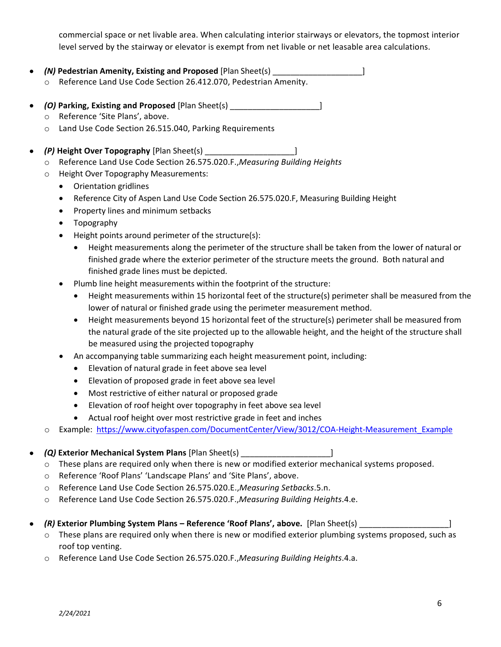commercial space or net livable area. When calculating interior stairways or elevators, the topmost interior level served by the stairway or elevator is exempt from net livable or net leasable area calculations.

- *(N)* **Pedestrian Amenity, Existing and Proposed** [Plan Sheet(s) \_\_\_\_\_\_\_\_\_\_\_\_\_\_\_\_\_\_\_\_]
	- o Reference Land Use Code Section 26.412.070, Pedestrian Amenity.
- *(O)* **Parking, Existing and Proposed** [Plan Sheet(s) \_\_\_\_\_\_\_\_\_\_\_\_\_\_\_\_\_\_\_\_]
	- o Reference 'Site Plans', above.
	- o Land Use Code Section 26.515.040, Parking Requirements
- *(P)* **Height Over Topography** [Plan Sheet(s) \_\_\_\_\_\_\_\_\_\_\_\_\_\_\_\_\_\_\_\_]
	- o Reference Land Use Code Section 26.575.020.F.,*Measuring Building Heights*
	- o Height Over Topography Measurements:
		- Orientation gridlines
		- Reference City of Aspen Land Use Code Section 26.575.020.F, Measuring Building Height
		- Property lines and minimum setbacks
		- Topography
		- Height points around perimeter of the structure(s):
			- Height measurements along the perimeter of the structure shall be taken from the lower of natural or finished grade where the exterior perimeter of the structure meets the ground. Both natural and finished grade lines must be depicted.
		- Plumb line height measurements within the footprint of the structure:
			- Height measurements within 15 horizontal feet of the structure(s) perimeter shall be measured from the lower of natural or finished grade using the perimeter measurement method.
			- Height measurements beyond 15 horizontal feet of the structure(s) perimeter shall be measured from the natural grade of the site projected up to the allowable height, and the height of the structure shall be measured using the projected topography
		- An accompanying table summarizing each height measurement point, including:
			- Elevation of natural grade in feet above sea level
			- Elevation of proposed grade in feet above sea level
			- Most restrictive of either natural or proposed grade
			- Elevation of roof height over topography in feet above sea level
			- Actual roof height over most restrictive grade in feet and inches
	- o Example: [https://www.cityofaspen.com/DocumentCenter/View/3012/COA-Height-Measurement\\_Example](https://www.cityofaspen.com/DocumentCenter/View/3012/COA-Height-Measurement_Example)

## • *(Q)* **Exterior Mechanical System Plans** [Plan Sheet(s) \_\_\_\_\_\_\_\_\_\_\_\_\_\_\_\_\_\_\_\_]

- o These plans are required only when there is new or modified exterior mechanical systems proposed.
- o Reference 'Roof Plans' 'Landscape Plans' and 'Site Plans', above.
- o Reference Land Use Code Section 26.575.020.E.,*Measuring Setbacks*.5.n.
- o Reference Land Use Code Section 26.575.020.F.,*Measuring Building Heights*.4.e.
- *(R)* **Exterior Plumbing System Plans – Reference 'Roof Plans', above.** [Plan Sheet(s) \_\_\_\_\_\_\_\_\_\_\_\_\_\_\_\_\_\_\_\_]
	- o These plans are required only when there is new or modified exterior plumbing systems proposed, such as roof top venting.
	- o Reference Land Use Code Section 26.575.020.F.,*Measuring Building Heights*.4.a.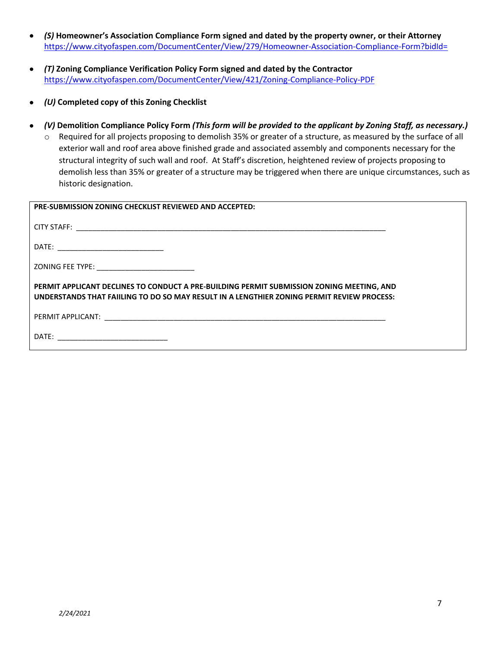- *(S)* **Homeowner's Association Compliance Form signed and dated by the property owner, or their Attorney**  <https://www.cityofaspen.com/DocumentCenter/View/279/Homeowner-Association-Compliance-Form?bidId=>
- *(T)* **Zoning Compliance Verification Policy Form signed and dated by the Contractor** <https://www.cityofaspen.com/DocumentCenter/View/421/Zoning-Compliance-Policy-PDF>
- *(U)* **Completed copy of this Zoning Checklist**
- *(V)* **Demolition Compliance Policy Form** *(This form will be provided to the applicant by Zoning Staff, as necessary.)*
	- o Required for all projects proposing to demolish 35% or greater of a structure, as measured by the surface of all exterior wall and roof area above finished grade and associated assembly and components necessary for the structural integrity of such wall and roof. At Staff's discretion, heightened review of projects proposing to demolish less than 35% or greater of a structure may be triggered when there are unique circumstances, such as historic designation.

| <b>PRE-SUBMISSION ZONING CHECKLIST REVIEWED AND ACCEPTED:</b>                                                                                                                           |
|-----------------------------------------------------------------------------------------------------------------------------------------------------------------------------------------|
|                                                                                                                                                                                         |
|                                                                                                                                                                                         |
|                                                                                                                                                                                         |
| PERMIT APPLICANT DECLINES TO CONDUCT A PRE-BUILDING PERMIT SUBMISSION ZONING MEETING, AND<br>UNDERSTANDS THAT FAIILING TO DO SO MAY RESULT IN A LENGTHIER ZONING PERMIT REVIEW PROCESS: |
|                                                                                                                                                                                         |
|                                                                                                                                                                                         |